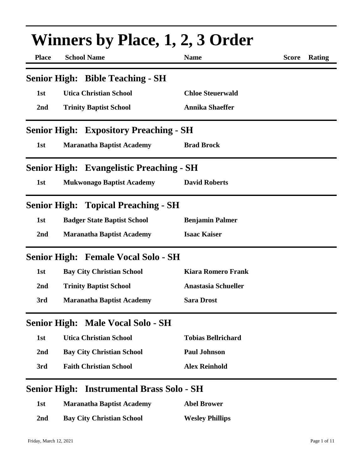| <b>Place</b>        | <b>School Name</b>                              | <b>Name</b>                | <b>Score</b> | Rating |
|---------------------|-------------------------------------------------|----------------------------|--------------|--------|
|                     | <b>Senior High: Bible Teaching - SH</b>         |                            |              |        |
| 1st                 | <b>Utica Christian School</b>                   | <b>Chloe Steuerwald</b>    |              |        |
| 2nd                 | <b>Trinity Baptist School</b>                   | <b>Annika Shaeffer</b>     |              |        |
|                     | <b>Senior High: Expository Preaching - SH</b>   |                            |              |        |
| 1st                 | <b>Maranatha Baptist Academy</b>                | <b>Brad Brock</b>          |              |        |
|                     | <b>Senior High: Evangelistic Preaching - SH</b> |                            |              |        |
| 1st                 | <b>Mukwonago Baptist Academy</b>                | <b>David Roberts</b>       |              |        |
|                     | <b>Senior High: Topical Preaching - SH</b>      |                            |              |        |
| 1st                 | <b>Badger State Baptist School</b>              | <b>Benjamin Palmer</b>     |              |        |
| 2nd                 | <b>Maranatha Baptist Academy</b>                | <b>Isaac Kaiser</b>        |              |        |
|                     | <b>Senior High: Female Vocal Solo - SH</b>      |                            |              |        |
| 1st                 | <b>Bay City Christian School</b>                | <b>Kiara Romero Frank</b>  |              |        |
| 2nd                 | <b>Trinity Baptist School</b>                   | <b>Anastasia Schueller</b> |              |        |
| 3rd                 | <b>Maranatha Baptist Academy</b>                | <b>Sara Drost</b>          |              |        |
|                     | <b>Senior High: Male Vocal Solo - SH</b>        |                            |              |        |
| 1st                 | <b>Utica Christian School</b>                   | <b>Tobias Bellrichard</b>  |              |        |
| 2nd                 | <b>Bay City Christian School</b>                | <b>Paul Johnson</b>        |              |        |
| 3rd                 | <b>Faith Christian School</b>                   | <b>Alex Reinhold</b>       |              |        |
| <b>Senior High:</b> | <b>Instrumental Brass Solo - SH</b>             |                            |              |        |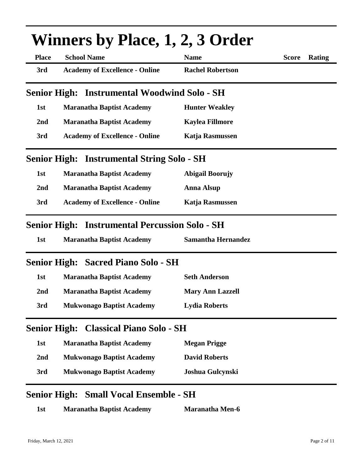|                     | <b>Winners by Place, 1, 2, 3 Order</b>                |                           |                        |
|---------------------|-------------------------------------------------------|---------------------------|------------------------|
| <b>Place</b>        | <b>School Name</b>                                    | <b>Name</b>               | <b>Score</b><br>Rating |
| 3rd                 | <b>Academy of Excellence - Online</b>                 | <b>Rachel Robertson</b>   |                        |
| <b>Senior High:</b> | <b>Instrumental Woodwind Solo - SH</b>                |                           |                        |
| 1st                 | <b>Maranatha Baptist Academy</b>                      | <b>Hunter Weakley</b>     |                        |
| 2nd                 | <b>Maranatha Baptist Academy</b>                      | <b>Kaylea Fillmore</b>    |                        |
| 3rd                 | <b>Academy of Excellence - Online</b>                 | <b>Katja Rasmussen</b>    |                        |
|                     | <b>Senior High: Instrumental String Solo - SH</b>     |                           |                        |
| 1st                 | <b>Maranatha Baptist Academy</b>                      | <b>Abigail Boorujy</b>    |                        |
| 2nd                 | <b>Maranatha Baptist Academy</b>                      | <b>Anna Alsup</b>         |                        |
| 3rd                 | <b>Academy of Excellence - Online</b>                 | Katja Rasmussen           |                        |
|                     | <b>Senior High: Instrumental Percussion Solo - SH</b> |                           |                        |
| 1st                 | <b>Maranatha Baptist Academy</b>                      | <b>Samantha Hernandez</b> |                        |
|                     | <b>Senior High: Sacred Piano Solo - SH</b>            |                           |                        |
| 1st                 | <b>Maranatha Baptist Academy</b>                      | <b>Seth Anderson</b>      |                        |
| 2nd                 | <b>Maranatha Baptist Academy</b>                      | <b>Mary Ann Lazzell</b>   |                        |
| 3rd                 | <b>Mukwonago Baptist Academy</b>                      | <b>Lydia Roberts</b>      |                        |
| <b>Senior High:</b> | <b>Classical Piano Solo - SH</b>                      |                           |                        |
| 1st                 | <b>Maranatha Baptist Academy</b>                      | <b>Megan Prigge</b>       |                        |
| 2nd                 | <b>Mukwonago Baptist Academy</b>                      | <b>David Roberts</b>      |                        |
| 3rd                 | <b>Mukwonago Baptist Academy</b>                      | Joshua Gulcynski          |                        |
|                     | <b>Senior High: Small Vocal Ensemble - SH</b>         |                           |                        |
| 1st                 | <b>Maranatha Baptist Academy</b>                      | Maranatha Men-6           |                        |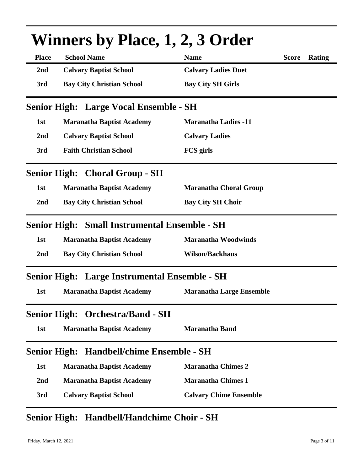|                     | <b>Winners by Place, 1, 2, 3 Order</b>               |                                 |              |        |
|---------------------|------------------------------------------------------|---------------------------------|--------------|--------|
| <b>Place</b>        | <b>School Name</b>                                   | <b>Name</b>                     | <b>Score</b> | Rating |
| 2 <sub>nd</sub>     | <b>Calvary Baptist School</b>                        | <b>Calvary Ladies Duet</b>      |              |        |
| 3rd                 | <b>Bay City Christian School</b>                     | <b>Bay City SH Girls</b>        |              |        |
|                     | <b>Senior High: Large Vocal Ensemble - SH</b>        |                                 |              |        |
| 1st                 | <b>Maranatha Baptist Academy</b>                     | <b>Maranatha Ladies -11</b>     |              |        |
| 2nd                 | <b>Calvary Baptist School</b>                        | <b>Calvary Ladies</b>           |              |        |
| 3rd                 | <b>Faith Christian School</b>                        | <b>FCS</b> girls                |              |        |
|                     | <b>Senior High: Choral Group - SH</b>                |                                 |              |        |
| 1st                 | <b>Maranatha Baptist Academy</b>                     | <b>Maranatha Choral Group</b>   |              |        |
| 2nd                 | <b>Bay City Christian School</b>                     | <b>Bay City SH Choir</b>        |              |        |
|                     | <b>Senior High: Small Instrumental Ensemble - SH</b> |                                 |              |        |
| 1st                 | <b>Maranatha Baptist Academy</b>                     | <b>Maranatha Woodwinds</b>      |              |        |
| 2nd                 | <b>Bay City Christian School</b>                     | <b>Wilson/Backhaus</b>          |              |        |
|                     | <b>Senior High: Large Instrumental Ensemble - SH</b> |                                 |              |        |
| 1st                 | <b>Maranatha Baptist Academy</b>                     | <b>Maranatha Large Ensemble</b> |              |        |
| <b>Senior High:</b> | <b>Orchestra/Band - SH</b>                           |                                 |              |        |
| 1st                 | <b>Maranatha Baptist Academy</b>                     | <b>Maranatha Band</b>           |              |        |
| <b>Senior High:</b> | <b>Handbell/chime Ensemble - SH</b>                  |                                 |              |        |
| 1st                 | <b>Maranatha Baptist Academy</b>                     | <b>Maranatha Chimes 2</b>       |              |        |
| 2nd                 | <b>Maranatha Baptist Academy</b>                     | <b>Maranatha Chimes 1</b>       |              |        |
| 3rd                 | <b>Calvary Baptist School</b>                        | <b>Calvary Chime Ensemble</b>   |              |        |

### **Senior High: Handbell/Handchime Choir - SH**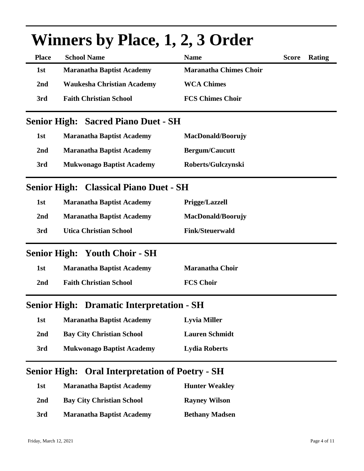|              | <b>Winners by Place, 1, 2, 3 Order</b>                 |                               |              |        |
|--------------|--------------------------------------------------------|-------------------------------|--------------|--------|
| <b>Place</b> | <b>School Name</b>                                     | <b>Name</b>                   | <b>Score</b> | Rating |
| 1st          | <b>Maranatha Baptist Academy</b>                       | <b>Maranatha Chimes Choir</b> |              |        |
| 2nd          | <b>Waukesha Christian Academy</b>                      | <b>WCA Chimes</b>             |              |        |
| 3rd          | <b>Faith Christian School</b>                          | <b>FCS Chimes Choir</b>       |              |        |
|              | <b>Senior High: Sacred Piano Duet - SH</b>             |                               |              |        |
| 1st          | <b>Maranatha Baptist Academy</b>                       | MacDonald/Boorujy             |              |        |
| 2nd          | <b>Maranatha Baptist Academy</b>                       | <b>Bergum/Caucutt</b>         |              |        |
| 3rd          | <b>Mukwonago Baptist Academy</b>                       | Roberts/Gulczynski            |              |        |
|              | <b>Senior High: Classical Piano Duet - SH</b>          |                               |              |        |
| 1st          | <b>Maranatha Baptist Academy</b>                       | <b>Prigge/Lazzell</b>         |              |        |
| 2nd          | <b>Maranatha Baptist Academy</b>                       | <b>MacDonald/Boorujy</b>      |              |        |
| 3rd          | <b>Utica Christian School</b>                          | <b>Fink/Steuerwald</b>        |              |        |
|              | <b>Senior High: Youth Choir - SH</b>                   |                               |              |        |
| 1st          | <b>Maranatha Baptist Academy</b>                       | <b>Maranatha Choir</b>        |              |        |
| 2nd          | <b>Faith Christian School</b>                          | <b>FCS Choir</b>              |              |        |
|              | <b>Senior High: Dramatic Interpretation - SH</b>       |                               |              |        |
| 1st          | <b>Maranatha Baptist Academy</b>                       | <b>Lyvia Miller</b>           |              |        |
| 2nd          | <b>Bay City Christian School</b>                       | <b>Lauren Schmidt</b>         |              |        |
| 3rd          | <b>Mukwonago Baptist Academy</b>                       | <b>Lydia Roberts</b>          |              |        |
|              | <b>Senior High: Oral Interpretation of Poetry - SH</b> |                               |              |        |
| 1st          | <b>Maranatha Baptist Academy</b>                       | <b>Hunter Weakley</b>         |              |        |

# **2nd Bay City Christian School Rayney Wilson 3rd Maranatha Baptist Academy Bethany Madsen**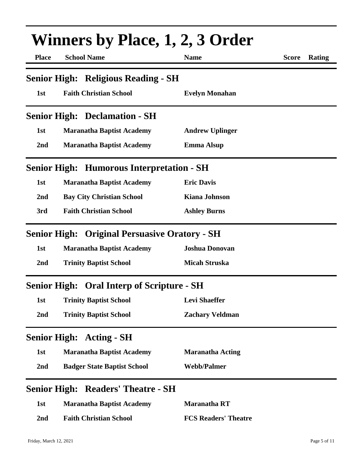| <b>Winners by Place, 1, 2, 3 Order</b> |                                                      |                             |                        |
|----------------------------------------|------------------------------------------------------|-----------------------------|------------------------|
| <b>Place</b>                           | <b>School Name</b>                                   | <b>Name</b>                 | <b>Score</b><br>Rating |
|                                        | <b>Senior High: Religious Reading - SH</b>           |                             |                        |
| 1st                                    | <b>Faith Christian School</b>                        | <b>Evelyn Monahan</b>       |                        |
|                                        | <b>Senior High: Declamation - SH</b>                 |                             |                        |
| 1st                                    | <b>Maranatha Baptist Academy</b>                     | <b>Andrew Uplinger</b>      |                        |
| 2nd                                    | <b>Maranatha Baptist Academy</b>                     | <b>Emma Alsup</b>           |                        |
|                                        | <b>Senior High: Humorous Interpretation - SH</b>     |                             |                        |
| 1st                                    | <b>Maranatha Baptist Academy</b>                     | <b>Eric Davis</b>           |                        |
| 2 <sub>nd</sub>                        | <b>Bay City Christian School</b>                     | <b>Kiana Johnson</b>        |                        |
| 3rd                                    | <b>Faith Christian School</b>                        | <b>Ashley Burns</b>         |                        |
|                                        | <b>Senior High: Original Persuasive Oratory - SH</b> |                             |                        |
| 1st                                    | <b>Maranatha Baptist Academy</b>                     | <b>Joshua Donovan</b>       |                        |
| 2nd                                    | <b>Trinity Baptist School</b>                        | <b>Micah Struska</b>        |                        |
|                                        | <b>Senior High: Oral Interp of Scripture - SH</b>    |                             |                        |
| 1st                                    | <b>Trinity Baptist School</b>                        | <b>Levi Shaeffer</b>        |                        |
| 2nd                                    | <b>Trinity Baptist School</b>                        | <b>Zachary Veldman</b>      |                        |
|                                        | <b>Senior High: Acting - SH</b>                      |                             |                        |
| 1st                                    | <b>Maranatha Baptist Academy</b>                     | <b>Maranatha Acting</b>     |                        |
| 2nd                                    | <b>Badger State Baptist School</b>                   | <b>Webb/Palmer</b>          |                        |
| <b>Senior High:</b>                    | <b>Readers' Theatre - SH</b>                         |                             |                        |
| 1st                                    | <b>Maranatha Baptist Academy</b>                     | <b>Maranatha RT</b>         |                        |
| 2nd                                    | <b>Faith Christian School</b>                        | <b>FCS Readers' Theatre</b> |                        |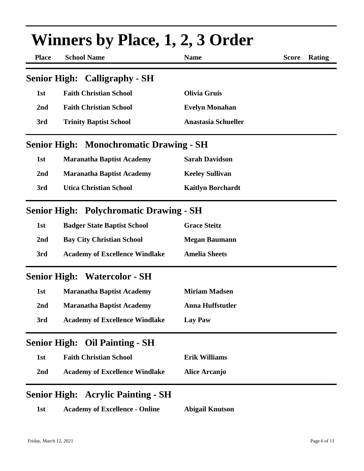| Winners by Place, 1, 2, 3 Order |                                                |                            |              |               |
|---------------------------------|------------------------------------------------|----------------------------|--------------|---------------|
| <b>Place</b>                    | <b>School Name</b>                             | <b>Name</b>                | <b>Score</b> | <b>Rating</b> |
|                                 | <b>Senior High: Calligraphy - SH</b>           |                            |              |               |
| 1st                             | <b>Faith Christian School</b>                  | <b>Olivia Gruis</b>        |              |               |
| 2nd                             | <b>Faith Christian School</b>                  | <b>Evelyn Monahan</b>      |              |               |
| 3rd                             | <b>Trinity Baptist School</b>                  | <b>Anastasia Schueller</b> |              |               |
|                                 | <b>Senior High: Monochromatic Drawing - SH</b> |                            |              |               |
| 1st                             | <b>Maranatha Baptist Academy</b>               | <b>Sarah Davidson</b>      |              |               |
| 2 <sub>nd</sub>                 | <b>Maranatha Baptist Academy</b>               | <b>Keeley Sullivan</b>     |              |               |
| 3rd                             | <b>Utica Christian School</b>                  | <b>Kaitlyn Borchardt</b>   |              |               |
|                                 | <b>Senior High: Polychromatic Drawing - SH</b> |                            |              |               |
| 1st                             | <b>Badger State Baptist School</b>             | <b>Grace Steitz</b>        |              |               |
| 2nd                             | <b>Bay City Christian School</b>               | <b>Megan Baumann</b>       |              |               |
| 3rd                             | <b>Academy of Excellence Windlake</b>          | <b>Amelia Sheets</b>       |              |               |
|                                 | <b>Senior High: Watercolor - SH</b>            |                            |              |               |
| 1st                             | <b>Maranatha Baptist Academy</b>               | <b>Miriam Madsen</b>       |              |               |
| 2 <sub>nd</sub>                 | <b>Maranatha Baptist Academy</b>               | <b>Anna Huffstutler</b>    |              |               |
| 3rd                             | <b>Academy of Excellence Windlake</b>          | <b>Lay Paw</b>             |              |               |
|                                 | <b>Senior High: Oil Painting - SH</b>          |                            |              |               |
| 1st                             | <b>Faith Christian School</b>                  | <b>Erik Williams</b>       |              |               |
| 2nd                             | <b>Academy of Excellence Windlake</b>          | <b>Alice Arcanjo</b>       |              |               |
|                                 | <b>Senior High: Acrylic Painting - SH</b>      |                            |              |               |
| 1st                             | <b>Academy of Excellence - Online</b>          | <b>Abigail Knutson</b>     |              |               |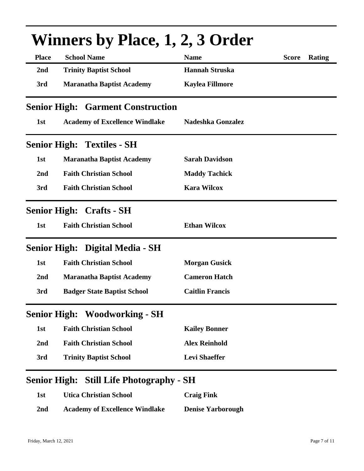| <b>Place</b>        | <b>School Name</b>                       | <b>Name</b>              | <b>Score</b> | Rating |
|---------------------|------------------------------------------|--------------------------|--------------|--------|
| 2nd                 | <b>Trinity Baptist School</b>            | <b>Hannah Struska</b>    |              |        |
| 3rd                 | <b>Maranatha Baptist Academy</b>         | <b>Kaylea Fillmore</b>   |              |        |
|                     | <b>Senior High: Garment Construction</b> |                          |              |        |
| 1st                 | <b>Academy of Excellence Windlake</b>    | <b>Nadeshka Gonzalez</b> |              |        |
|                     | <b>Senior High: Textiles - SH</b>        |                          |              |        |
| 1st                 | <b>Maranatha Baptist Academy</b>         | <b>Sarah Davidson</b>    |              |        |
| 2nd                 | <b>Faith Christian School</b>            | <b>Maddy Tachick</b>     |              |        |
| 3rd                 | <b>Faith Christian School</b>            | <b>Kara Wilcox</b>       |              |        |
|                     | <b>Senior High: Crafts - SH</b>          |                          |              |        |
| 1st                 | <b>Faith Christian School</b>            | <b>Ethan Wilcox</b>      |              |        |
|                     | Senior High: Digital Media - SH          |                          |              |        |
| 1st                 | <b>Faith Christian School</b>            | <b>Morgan Gusick</b>     |              |        |
| 2nd                 | <b>Maranatha Baptist Academy</b>         | <b>Cameron Hatch</b>     |              |        |
| 3rd                 | <b>Badger State Baptist School</b>       | <b>Caitlin Francis</b>   |              |        |
| <b>Senior High:</b> | <b>Woodworking - SH</b>                  |                          |              |        |
| 1st                 | <b>Faith Christian School</b>            | <b>Kailey Bonner</b>     |              |        |
| 2nd                 | <b>Faith Christian School</b>            | <b>Alex Reinhold</b>     |              |        |
|                     | <b>Trinity Baptist School</b>            | <b>Levi Shaeffer</b>     |              |        |

### **1st Utica Christian School Craig Fink**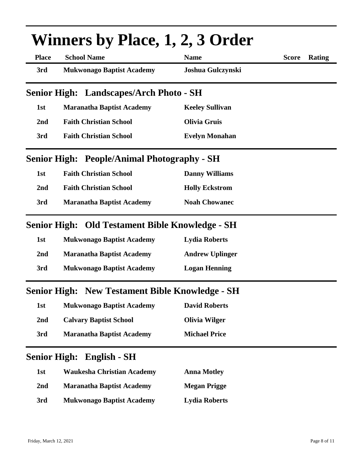|                     | <b>Winners by Place, 1, 2, 3 Order</b>                 |                        |                        |
|---------------------|--------------------------------------------------------|------------------------|------------------------|
| <b>Place</b>        | <b>School Name</b>                                     | <b>Name</b>            | <b>Score</b><br>Rating |
| 3rd                 | <b>Mukwonago Baptist Academy</b>                       | Joshua Gulczynski      |                        |
|                     | <b>Senior High: Landscapes/Arch Photo - SH</b>         |                        |                        |
| 1st                 | <b>Maranatha Baptist Academy</b>                       | <b>Keeley Sullivan</b> |                        |
| 2nd                 | <b>Faith Christian School</b>                          | <b>Olivia Gruis</b>    |                        |
| 3rd                 | <b>Faith Christian School</b>                          | <b>Evelyn Monahan</b>  |                        |
|                     | <b>Senior High: People/Animal Photography - SH</b>     |                        |                        |
| 1st                 | <b>Faith Christian School</b>                          | <b>Danny Williams</b>  |                        |
| 2 <sub>nd</sub>     | <b>Faith Christian School</b>                          | <b>Holly Eckstrom</b>  |                        |
| 3rd                 | <b>Maranatha Baptist Academy</b>                       | <b>Noah Chowanec</b>   |                        |
|                     | Senior High: Old Testament Bible Knowledge - SH        |                        |                        |
| 1st                 | <b>Mukwonago Baptist Academy</b>                       | <b>Lydia Roberts</b>   |                        |
| 2nd                 | <b>Maranatha Baptist Academy</b>                       | <b>Andrew Uplinger</b> |                        |
| 3rd                 | <b>Mukwonago Baptist Academy</b>                       | <b>Logan Henning</b>   |                        |
|                     | <b>Senior High: New Testament Bible Knowledge - SH</b> |                        |                        |
| 1st                 | <b>Mukwonago Baptist Academy</b>                       | <b>David Roberts</b>   |                        |
| 2nd                 | <b>Calvary Baptist School</b>                          | <b>Olivia Wilger</b>   |                        |
| 3rd                 | <b>Maranatha Baptist Academy</b>                       | <b>Michael Price</b>   |                        |
| <b>Senior High:</b> | <b>English - SH</b>                                    |                        |                        |
| 1st                 | <b>Waukesha Christian Academy</b>                      | <b>Anna Motley</b>     |                        |
| 2 <sub>nd</sub>     | <b>Maranatha Baptist Academy</b>                       | <b>Megan Prigge</b>    |                        |
| 3rd                 | <b>Mukwonago Baptist Academy</b>                       | <b>Lydia Roberts</b>   |                        |
|                     |                                                        |                        |                        |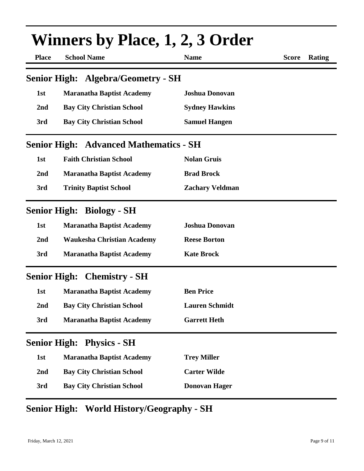| <b>Winners by Place, 1, 2, 3 Order</b> |                                               |                        |              |        |
|----------------------------------------|-----------------------------------------------|------------------------|--------------|--------|
| <b>Place</b>                           | <b>School Name</b>                            | <b>Name</b>            | <b>Score</b> | Rating |
|                                        | <b>Senior High: Algebra/Geometry - SH</b>     |                        |              |        |
| 1st                                    | <b>Maranatha Baptist Academy</b>              | <b>Joshua Donovan</b>  |              |        |
| 2nd                                    | <b>Bay City Christian School</b>              | <b>Sydney Hawkins</b>  |              |        |
| 3rd                                    | <b>Bay City Christian School</b>              | <b>Samuel Hangen</b>   |              |        |
|                                        | <b>Senior High: Advanced Mathematics - SH</b> |                        |              |        |
| 1st                                    | <b>Faith Christian School</b>                 | <b>Nolan Gruis</b>     |              |        |
| 2nd                                    | <b>Maranatha Baptist Academy</b>              | <b>Brad Brock</b>      |              |        |
| 3rd                                    | <b>Trinity Baptist School</b>                 | <b>Zachary Veldman</b> |              |        |
|                                        | <b>Senior High: Biology - SH</b>              |                        |              |        |
| 1st                                    | <b>Maranatha Baptist Academy</b>              | <b>Joshua Donovan</b>  |              |        |
| 2 <sub>nd</sub>                        | <b>Waukesha Christian Academy</b>             | <b>Reese Borton</b>    |              |        |
| 3rd                                    | <b>Maranatha Baptist Academy</b>              | <b>Kate Brock</b>      |              |        |
|                                        | <b>Senior High: Chemistry - SH</b>            |                        |              |        |
| 1st                                    | <b>Maranatha Baptist Academy</b>              | <b>Ben Price</b>       |              |        |
| 2nd                                    | <b>Bay City Christian School</b>              | <b>Lauren Schmidt</b>  |              |        |
| 3rd                                    | <b>Maranatha Baptist Academy</b>              | <b>Garrett Heth</b>    |              |        |
| <b>Senior High:</b>                    | <b>Physics - SH</b>                           |                        |              |        |
| 1st                                    | <b>Maranatha Baptist Academy</b>              | <b>Trey Miller</b>     |              |        |
| 2nd                                    | <b>Bay City Christian School</b>              | <b>Carter Wilde</b>    |              |        |
| 3rd                                    | <b>Bay City Christian School</b>              | <b>Donovan Hager</b>   |              |        |

# **Senior High: World History/Geography - SH**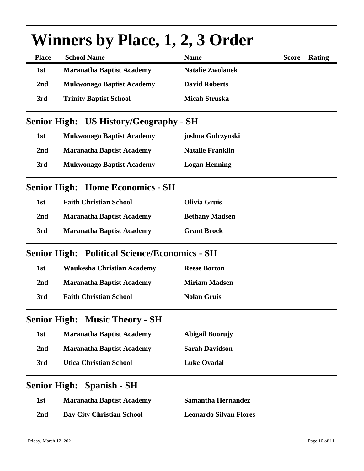| <b>Winners by Place, 1, 2, 3 Order</b> |                                                      |                               |              |        |
|----------------------------------------|------------------------------------------------------|-------------------------------|--------------|--------|
| <b>Place</b>                           | <b>School Name</b>                                   | <b>Name</b>                   | <b>Score</b> | Rating |
| 1st                                    | <b>Maranatha Baptist Academy</b>                     | <b>Natalie Zwolanek</b>       |              |        |
| 2nd                                    | <b>Mukwonago Baptist Academy</b>                     | <b>David Roberts</b>          |              |        |
| 3rd                                    | <b>Trinity Baptist School</b>                        | <b>Micah Struska</b>          |              |        |
|                                        | <b>Senior High: US History/Geography - SH</b>        |                               |              |        |
| 1st                                    | <b>Mukwonago Baptist Academy</b>                     | joshua Gulczynski             |              |        |
| 2nd                                    | <b>Maranatha Baptist Academy</b>                     | <b>Natalie Franklin</b>       |              |        |
| 3rd                                    | <b>Mukwonago Baptist Academy</b>                     | <b>Logan Henning</b>          |              |        |
|                                        | <b>Senior High: Home Economics - SH</b>              |                               |              |        |
| 1st                                    | <b>Faith Christian School</b>                        | <b>Olivia Gruis</b>           |              |        |
| 2nd                                    | <b>Maranatha Baptist Academy</b>                     | <b>Bethany Madsen</b>         |              |        |
| 3rd                                    | <b>Maranatha Baptist Academy</b>                     | <b>Grant Brock</b>            |              |        |
|                                        | <b>Senior High: Political Science/Economics - SH</b> |                               |              |        |
| 1st                                    | <b>Waukesha Christian Academy</b>                    | <b>Reese Borton</b>           |              |        |
| 2nd                                    | <b>Maranatha Baptist Academy</b>                     | <b>Miriam Madsen</b>          |              |        |
| 3rd                                    | <b>Faith Christian School</b>                        | <b>Nolan Gruis</b>            |              |        |
|                                        | <b>Senior High: Music Theory - SH</b>                |                               |              |        |
| 1st                                    | <b>Maranatha Baptist Academy</b>                     | <b>Abigail Boorujy</b>        |              |        |
| 2nd                                    | <b>Maranatha Baptist Academy</b>                     | <b>Sarah Davidson</b>         |              |        |
| 3rd                                    | <b>Utica Christian School</b>                        | <b>Luke Ovadal</b>            |              |        |
|                                        | <b>Senior High: Spanish - SH</b>                     |                               |              |        |
| 1st                                    | <b>Maranatha Baptist Academy</b>                     | <b>Samantha Hernandez</b>     |              |        |
| 2nd                                    | <b>Bay City Christian School</b>                     | <b>Leonardo Silvan Flores</b> |              |        |
|                                        |                                                      |                               |              |        |